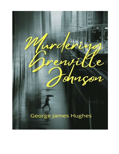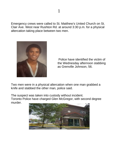Emergency crews were called to St. Matthew's United Church on St. Clair Ave. West near Rushton Rd. at around 3:30 p.m. for a physical altercation taking place between two men.



 Police have identified the victim of the Wednesday afternoon stabbing as Grenville Johnson, 56.

Two men were in a physical altercation when one man grabbed a knife and stabbed the other man, police said.

The suspect was taken into custody without incident. Toronto Police have charged Glen McGregor, with second degree murder.

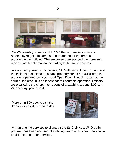

On Wednesday, sources told CP24 that a homeless man and an employee got into some sort of argument at the drop-in program in the building. The employee then stabbed the homeless man during the altercation, according to the same sources.

A statement posted to its website, St. Matthew's United Church said the incident took place on church property during a regular drop-in program operated by Wychwood Open Door. Though hosted at the church, the drop-in is an independent charitable operation. Officers were called to the church for reports of a stabbing around 3:00 p.m. Wednesday, police said.

More than 100 people visit the drop-in for assistance each day.



A man offering services to clients at the St. Clair Ave. W. Drop-in program has been accused of stabbing death of another man known to visit the centre for services.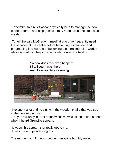Toffelmire said relief workers typically help to manage the flow of the program and help guests if they need assistance to access meals.

Toffelmire said McGregor himself at one time frequently used the services at the centre before becoming a volunteer and progressing into his role of becoming a contracted relief worker, who assisted with helping clients who visited the facility.

> So how does this even happen? I'll tell you. I was there. And it's absolutely sickening.



I've spent a lot of time sitting in the wooden chairs that you see in the doorway above.

They are usually in front of the window.I was sitting in one of them when I heard Grenville scream.

It wasn't his scream that really got to me. It was the abrupt silencing of it...

The moment you know something has gone horribly wrong.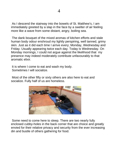As I descend the stairway into the bowels of St. Matthew's, I am immediately greeted by a slap in the face by a swelter of air feeling more like a wave from some distant, angry, boiling sea.

The dank bouquet of the mixed aromas of kitchen efforts and stale human body odour enshroud my lightly perspiring, well tanned, grimy skin. Just as it did each time I arrive every; Monday, Wednesday and Friday. Usually appearing twice each day. Today is Wednesday. On Monday mornings, I could not argue against the likelihood that my presence may indeed moderately contribute unfavourably to that aromatic elixir.

It is where I come to eat and wash my body. Sometimes I will socialize.

Most of the other fifty or sixty others are also here to eat and socialize. Fully half of us are homeless.



Some need to come here to sleep. There are two nearly fully enclosed cubby-holes in the back corner that are choice and greatly envied for their relative privacy and security from the ever increasing din and bustle of others gathering for food.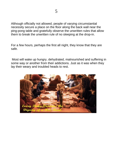Although officially not allowed, people of varying circumstantial necessity secure a place on the floor along the back wall near the ping-pong table and gratefully observe the unwritten rules that allow them to break the unwritten rule of no sleeping at the drop-in.

For a few hours, perhaps the first all night, they know that they are safe.

Most will wake up hungry, dehydrated, malnourished and suffering in some way or another from their addictions. Just as it was when they lay their weary and troubled heads to rest.

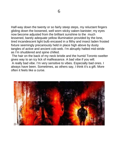Half-way down the twenty or so fairly steep steps, my reluctant fingers gliding down the loosened, well worn sticky oaken banister; my eyes now become adjusted from the brilliant sunshine to the much lessened, barely adequate yellow illumination provided by the lone, tired incandescent light bulb encased in a filthy and insect laden frosted fixture seemingly precariously held in place high above by dusty tangles of active and ancient cob-web. I'm abruptly halted mid-stride as I'm shuddered and spine chilled.

The hair on the back of my neck bristle and the humid Toronto swelter gives way to an icy lick of malfeasance. A bad vibe if you will.

A really bad vibe. I'm very sensitive to vibes. Especially bad ones. I always have been. Sometimes, as others say, I think it's a gift. More often it feels like a curse.

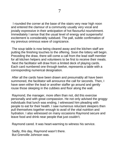I rounded the corner at the base of the stairs very near high noon and entered the clamour of a community usually very vocal and jovially expressive in their anticipation of hot flavourful nourishment. Immediately I sense that the usual level of energy and suspenseful excitement is considerably subdued. The pall, subtle confirmation of my previous ominous wave of cognizance.

The soup table is now being cleared away and the kitchen staff are putting the finishing touches to the offering. Soon the lottery will begin. Preceding the draw, there will come a call from the lead staff member for all kitchen helpers and volunteers to be first to receive their meals. Next the facilitator will draw from a limited deck of playing cards. Each card numbered one through twelve, represents a table with a corresponding numerical designation.

After all the cards have been drawn and presumably all have been summoned, the facilitator will announce the call for seconds. Then, I have seen either the lead or another staffer go around and gently rouse those sleeping in the cubbies and floor along the wall.

Raymond, the manager, more often than not, did this exercise personally and with great compassion. He not only advised the groggy individuals that lunch was ending, I witnessed him pleading with people to eat for their health. I saw numerous reluctant sleepers then pull themselves together enough to avail of the vital nutrition and hydration. I also witnessed on many occasions Raymond secure and leave food and drink near people that just couldn't.

Raymond cared. It was heart-warming to witness his service.

Sadly, this day, Raymond wasn't there. But Grenville Johnson was.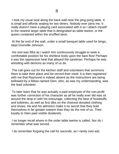I took my usual seat along the back wall near the ping-pong table. It is small and affords seating for two diners. Nobody ever joins me. It really doesn't have a playing card associated with it so I attach myself to the nearest larger table that is designated as table twelve, or the queen contained within the shuffled deck.

At the far end of the wall, under a small banquet table used for bingo, slept Grenville Johnson.

His rest was fitful as I watch him continuously struggle to seek a comfortable position for his shirtless body upon the bare floor Perhaps it was the oppressive heat that allayed the sandman. Perhaps he was wrestling with demons as many of us do.

The call goes out for the kitchen staff and volunteers that summons them to take their place and be served their meal. It is then registered with me that Raymond is indeed absent as the instructions are being bellowed by a fellow named Glen, who, as was my understanding, was the lead volunteer.

To later learn that he was actually a paid employee of the non-profit was further conviction of his character as all he really ever did was sit around the drop-in with his entourage, collecting the best of foodstuffs and toiletries, as well as first dibs on the choicest donated clothing and shoes. He and his admirers make it no secret that they hold themselves in far greater esteem than they do the rest of us. Their loyalty to Glen paid visible dividends.

I no longer recall where in the order table twelve is called. Nor do I remember what was served.

I do remember forgoing the call for seconds, as I rarely over-eat.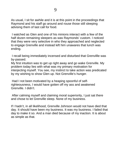As usual, I sit for awhile and it is at this point in the proceedings that Raymond and his staff go around and rouse those still sleeping advising them of last call for food.

I watched as Glen and one of his minions interact with a few of the half dozen remaining sleepers as was Raymonds' custom. I noticed that they were very selective in who they approached and neglected to engage Grenville and instead left him unawares that lunch was ending.

I recall being immediately incensed and disturbed that Grenvillle was by-passed.

My first intuition was to get up right away and go wake Grenville. My problem today lies with what was my primary motivation for interjecting myself. You see, my instinct to take action was predicated by my wishing to show Glen up. Not Grenville's hunger.

Had I not been motivated by a heaping spoonful of selfrighteousness, I would have gotten off my ass and awakened Grenville. I didn't.

After calming myself and claiming moral superiority, I just sat there and chose to let Grenville sleep. None of my business.

If I hadn't, in all likelihood, Grenville Johnson would not have died that day. It should have been my business. It was my business. I failed that day to make it so. And a man died because of my inaction. It is about as simple as that.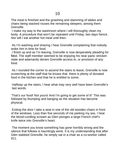The meal is finished and the gnashing and slamming of tables and chairs being stacked rouses the remaining sleepers, among them Grenville.

I make my way to the washroom where I will thoroughly clean my body. A procedure that won't be repeated until Friday, two days hence. Nor will I eat another hot meal until then.

As I'm washing and shaving I hear Grenville complaining that nobody woke him in time for food.

I finish up and as I'm leaving, Grenville is now desperately pleading for food. The staff member seemed to be enjoying his near panic stricken state and adamantly denies Grenville access to, or provision of any food.

As I rounded the corner to ascend the stairs to leave, Grenville is now screeching at the staff that he knows that there is plenty of donated food in the kitchen and that he is entitled to some.

Halfway up the stairs, I hear what may very well have been Grenville's last words.

'That's our food! Not yours! And I'm going to get some of it!' This was followed by thumping and banging as the situation has become physical.

Exiting the door I take a seat in one of the old wooden chairs in front of the windows. Less than five seconds of me parking my ass, I hear the blood-curdling scream as Glen plunges a large French chef's knife twice into Grenville's heart.

The moment you know something has gone horribly wrong and the silence that follows is hauntingly eerie. It is my understanding that after Glen stabbed Grenville, he simply sat in a chair as a co-worker called 911.